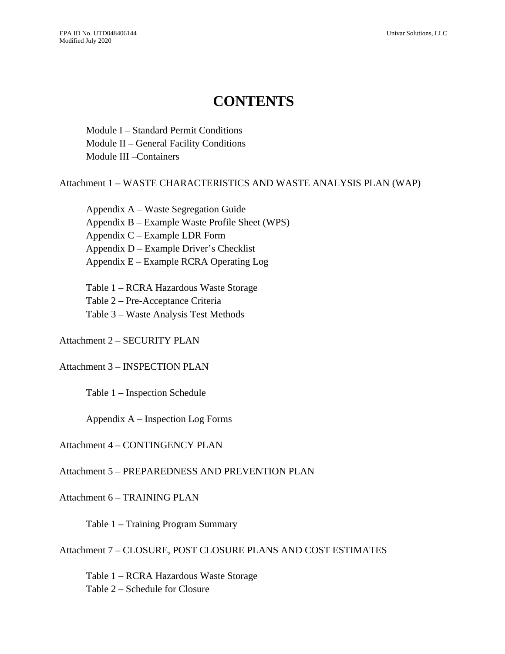# **CONTENTS**

Module I – Standard Permit Conditions Module II – General Facility Conditions Module III –Containers

## Attachment 1 – WASTE CHARACTERISTICS AND WASTE ANALYSIS PLAN (WAP)

Appendix A – Waste Segregation Guide Appendix B – Example Waste Profile Sheet (WPS) Appendix C – Example LDR Form Appendix D – Example Driver's Checklist Appendix E – Example RCRA Operating Log

Table 1 – RCRA Hazardous Waste Storage Table 2 – Pre-Acceptance Criteria Table 3 – Waste Analysis Test Methods

Attachment 2 – SECURITY PLAN

## Attachment 3 – INSPECTION PLAN

Table 1 – Inspection Schedule

Appendix A – Inspection Log Forms

## Attachment 4 – CONTINGENCY PLAN

## Attachment 5 – PREPAREDNESS AND PREVENTION PLAN

## Attachment 6 – TRAINING PLAN

Table 1 – Training Program Summary

Attachment 7 – CLOSURE, POST CLOSURE PLANS AND COST ESTIMATES

Table 1 – RCRA Hazardous Waste Storage Table 2 – Schedule for Closure